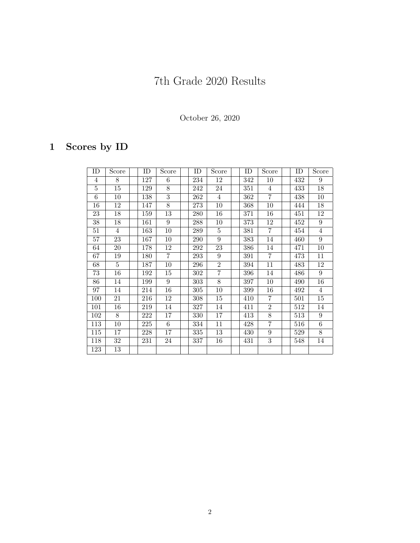## 7th Grade 2020 Results

October 26, 2020

## 1 Scores by ID

| ID     | Score | ID  | Score          | ID  | Score          | ID  | Score          | ID  | Score |
|--------|-------|-----|----------------|-----|----------------|-----|----------------|-----|-------|
| 4      | 8     | 127 | 6              | 234 | 12             | 342 | 10             | 432 | 9     |
| 5      | 15    | 129 | 8              | 242 | 24             | 351 | $\overline{4}$ | 433 | 18    |
| 6      | 10    | 138 | 3              | 262 | $\overline{4}$ | 362 | $\overline{7}$ | 438 | 10    |
| 16     | 12    | 147 | 8              | 273 | 10             | 368 | 10             | 444 | 18    |
| 23     | 18    | 159 | 13             | 280 | 16             | 371 | 16             | 451 | 12    |
| 38     | 18    | 161 | 9              | 288 | 10             | 373 | 12             | 452 | 9     |
| $51\,$ | 4     | 163 | 10             | 289 | 5              | 381 | $\overline{7}$ | 454 | 4     |
| 57     | 23    | 167 | 10             | 290 | 9              | 383 | 14             | 460 | 9     |
| 64     | 20    | 178 | 12             | 292 | 23             | 386 | 14             | 471 | 10    |
| 67     | 19    | 180 | $\overline{7}$ | 293 | 9              | 391 | 7              | 473 | 11    |
| 68     | 5     | 187 | 10             | 296 | $\overline{2}$ | 394 | 11             | 483 | 12    |
| 73     | 16    | 192 | 15             | 302 | $\overline{7}$ | 396 | 14             | 486 | 9     |
| 86     | 14    | 199 | 9              | 303 | 8              | 397 | 10             | 490 | 16    |
| 97     | 14    | 214 | 16             | 305 | 10             | 399 | 16             | 492 | 4     |
| 100    | 21    | 216 | 12             | 308 | 15             | 410 | 7              | 501 | 15    |
| 101    | 16    | 219 | 14             | 327 | 14             | 411 | $\overline{2}$ | 512 | 14    |
| 102    | 8     | 222 | 17             | 330 | 17             | 413 | 8              | 513 | 9     |
| 113    | 10    | 225 | 6              | 334 | 11             | 428 | 7              | 516 | 6     |
| 115    | 17    | 228 | 17             | 335 | 13             | 430 | 9              | 529 | 8     |
| 118    | 32    | 231 | 24             | 337 | 16             | 431 | 3              | 548 | 14    |
| 123    | 13    |     |                |     |                |     |                |     |       |